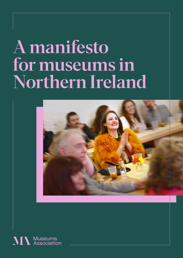## A manifesto for museums in Northern Ireland



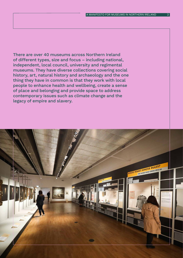There are over 40 museums across Northern Ireland of different types, size and focus – including national, independent, local council, university and regimental museums. They have diverse collections covering social history, art, natural history and archaeology and the one thing they have in common is that they work with local people to enhance health and wellbeing, create a sense of place and belonging and provide space to address contemporary issues such as climate change and the legacy of empire and slavery.

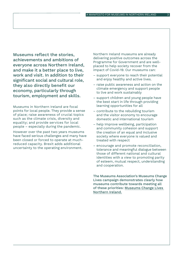Museums reflect the stories, achievements and ambitions of everyone across Northern Ireland, and make it a better place to live, work and visit. In addition to their significant social and cultural role, they also directly benefit our economy, particularly through tourism, employment and skills.

Museums in Northern Ireland are focal points for local people. They provide a sense of place; raise awareness of crucial topics such as the climate crisis, diversity and equality; and provide services for local people – especially during the pandemic.

However over the past two years museums have faced serious challenges and many have been closed or forced to operate at muchreduced capacity. Brexit adds additional uncertainty to the operating environment.

Northern Ireland museums are already delivering positive outcomes across the Programme for Government and are wellplaced to help society recover from the impact of Covid-19. Our museums can:

- support everyone to reach their potential and enjoy healthy and active lives.
- raise public awareness and action on the climate emergency and support people to live and work sustainably
- support children and young people have the best start in life through providing learning opportunities for all
- contribute to the rebuilding tourism and the visitor economy to encourage domestic and international tourism
- help Improve wellbeing, participation and community cohesion and support the creation of an equal and inclusive society where everyone is valued and treated with respect
- encourage and promote reconciliation, tolerance and meaningful dialogue between those of different national and cultural identities with a view to promoting parity of esteem, mutual respect, understanding and cooperation.

The Museums Association's Museums Change Lives campaign demonstrates clearly how museums contribute towards meeting all of these priorities: [Museums Change Lives](https://ma-production.ams3.digitaloceanspaces.com/app/uploads/2020/08/17070033/MCL-NI-2020.pdf)  [Northern Ireland.](https://ma-production.ams3.digitaloceanspaces.com/app/uploads/2020/08/17070033/MCL-NI-2020.pdf)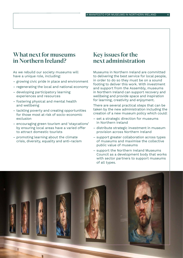## What next for museums in Northern Ireland?

As we rebuild our society museums will have a unique role, including:

- growing civic pride in place and environment
- regenerating the local and national economy
- developing participatory learning experiences and resources
- fostering physical and mental health and wellbeing
- tackling poverty and creating opportunities for those most at risk of socio-economic exclusion
- encouraging green tourism and 'staycations' by ensuring local areas have a varied offer to attract domestic tourists
- promoting learning about the climate crisis, diversity, equality and anti-racism

## Key issues for the next administration

Museums in Northern Ireland are committed to delivering the best service for local people, in order to do so they must be on a sound footing to deliver this work. With investment and support from the Assembly, museums in Northern Ireland can support recovery and wellbeing and provide space and inspiration for learning, creativity and enjoyment.

There are several practical steps that can be taken by the new administration including the creation of a new museum policy which could:

- set a strategic direction for museums in Northern Ireland
- distribute strategic investment in museum provision across Northern Ireland
- support greater collaboration across types of museums and maximise the collective public value of museums
- support the Northern Ireland Museums Council as a development body that works with sector partners to support museums of all types.

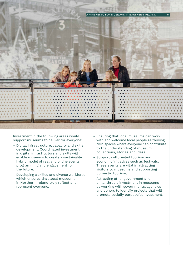

Investment in the following areas would support museums to deliver for everyone:

- Digital infrastructure, capacity and skills development. Coordinated investment in digital infrastructure and skills will enable museums to create a sustainable hybrid model of real and online events, programming and engagement for the future.
- Developing a skilled and diverse workforce which ensures that local museums in Northern Ireland truly reflect and represent everyone.
- Ensuring that local museums can work with and welcome local people as thriving civic spaces where everyone can contribute to the understanding of museum collections, stories and ideas.
- Support culture-led tourism and economic initiatives such as festivals. These events are vital in attracting visitors to museums and supporting domestic tourism.
- Attracting other government and philanthropic investment in museums by working with governments, agencies and donors to identify projects that will promote socially purposeful investment.